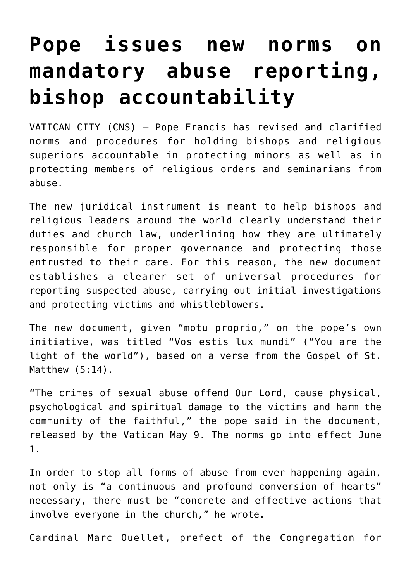## **[Pope issues new norms on](https://www.osvnews.com/2019/05/09/pope-issues-new-norms-on-mandatory-abuse-reporting-bishop-accountability/) [mandatory abuse reporting,](https://www.osvnews.com/2019/05/09/pope-issues-new-norms-on-mandatory-abuse-reporting-bishop-accountability/) [bishop accountability](https://www.osvnews.com/2019/05/09/pope-issues-new-norms-on-mandatory-abuse-reporting-bishop-accountability/)**

VATICAN CITY (CNS) — Pope Francis has revised and clarified norms and procedures for holding bishops and religious superiors accountable in protecting minors as well as in protecting members of religious orders and seminarians from abuse.

The new juridical instrument is meant to help bishops and religious leaders around the world clearly understand their duties and church law, underlining how they are ultimately responsible for proper governance and protecting those entrusted to their care. For this reason, the new document establishes a clearer set of universal procedures for reporting suspected abuse, carrying out initial investigations and protecting victims and whistleblowers.

The new document, given "motu proprio," on the pope's own initiative, was titled "Vos estis lux mundi" ("You are the light of the world"), based on a verse from the Gospel of St. Matthew (5:14).

"The crimes of sexual abuse offend Our Lord, cause physical, psychological and spiritual damage to the victims and harm the community of the faithful," the pope said in the document, released by the Vatican May 9. The norms go into effect June 1.

In order to stop all forms of abuse from ever happening again, not only is "a continuous and profound conversion of hearts" necessary, there must be "concrete and effective actions that involve everyone in the church," he wrote.

Cardinal Marc Ouellet, prefect of the Congregation for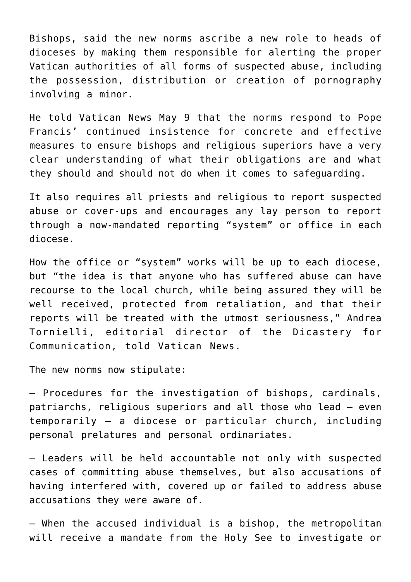Bishops, said the new norms ascribe a new role to heads of dioceses by making them responsible for alerting the proper Vatican authorities of all forms of suspected abuse, including the possession, distribution or creation of pornography involving a minor.

He told Vatican News May 9 that the norms respond to Pope Francis' continued insistence for concrete and effective measures to ensure bishops and religious superiors have a very clear understanding of what their obligations are and what they should and should not do when it comes to safeguarding.

It also requires all priests and religious to report suspected abuse or cover-ups and encourages any lay person to report through a now-mandated reporting "system" or office in each diocese.

How the office or "system" works will be up to each diocese, but "the idea is that anyone who has suffered abuse can have recourse to the local church, while being assured they will be well received, protected from retaliation, and that their reports will be treated with the utmost seriousness," Andrea Tornielli, editorial director of the Dicastery for Communication, told Vatican News.

The new norms now stipulate:

— Procedures for the investigation of bishops, cardinals, patriarchs, religious superiors and all those who lead — even temporarily — a diocese or particular church, including personal prelatures and personal ordinariates.

— Leaders will be held accountable not only with suspected cases of committing abuse themselves, but also accusations of having interfered with, covered up or failed to address abuse accusations they were aware of.

— When the accused individual is a bishop, the metropolitan will receive a mandate from the Holy See to investigate or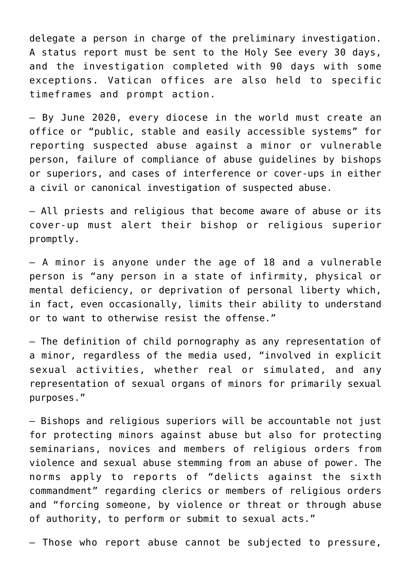delegate a person in charge of the preliminary investigation. A status report must be sent to the Holy See every 30 days, and the investigation completed with 90 days with some exceptions. Vatican offices are also held to specific timeframes and prompt action.

— By June 2020, every diocese in the world must create an office or "public, stable and easily accessible systems" for reporting suspected abuse against a minor or vulnerable person, failure of compliance of abuse guidelines by bishops or superiors, and cases of interference or cover-ups in either a civil or canonical investigation of suspected abuse.

— All priests and religious that become aware of abuse or its cover-up must alert their bishop or religious superior promptly.

— A minor is anyone under the age of 18 and a vulnerable person is "any person in a state of infirmity, physical or mental deficiency, or deprivation of personal liberty which, in fact, even occasionally, limits their ability to understand or to want to otherwise resist the offense."

— The definition of child pornography as any representation of a minor, regardless of the media used, "involved in explicit sexual activities, whether real or simulated, and any representation of sexual organs of minors for primarily sexual purposes."

— Bishops and religious superiors will be accountable not just for protecting minors against abuse but also for protecting seminarians, novices and members of religious orders from violence and sexual abuse stemming from an abuse of power. The norms apply to reports of "delicts against the sixth commandment" regarding clerics or members of religious orders and "forcing someone, by violence or threat or through abuse of authority, to perform or submit to sexual acts."

— Those who report abuse cannot be subjected to pressure,